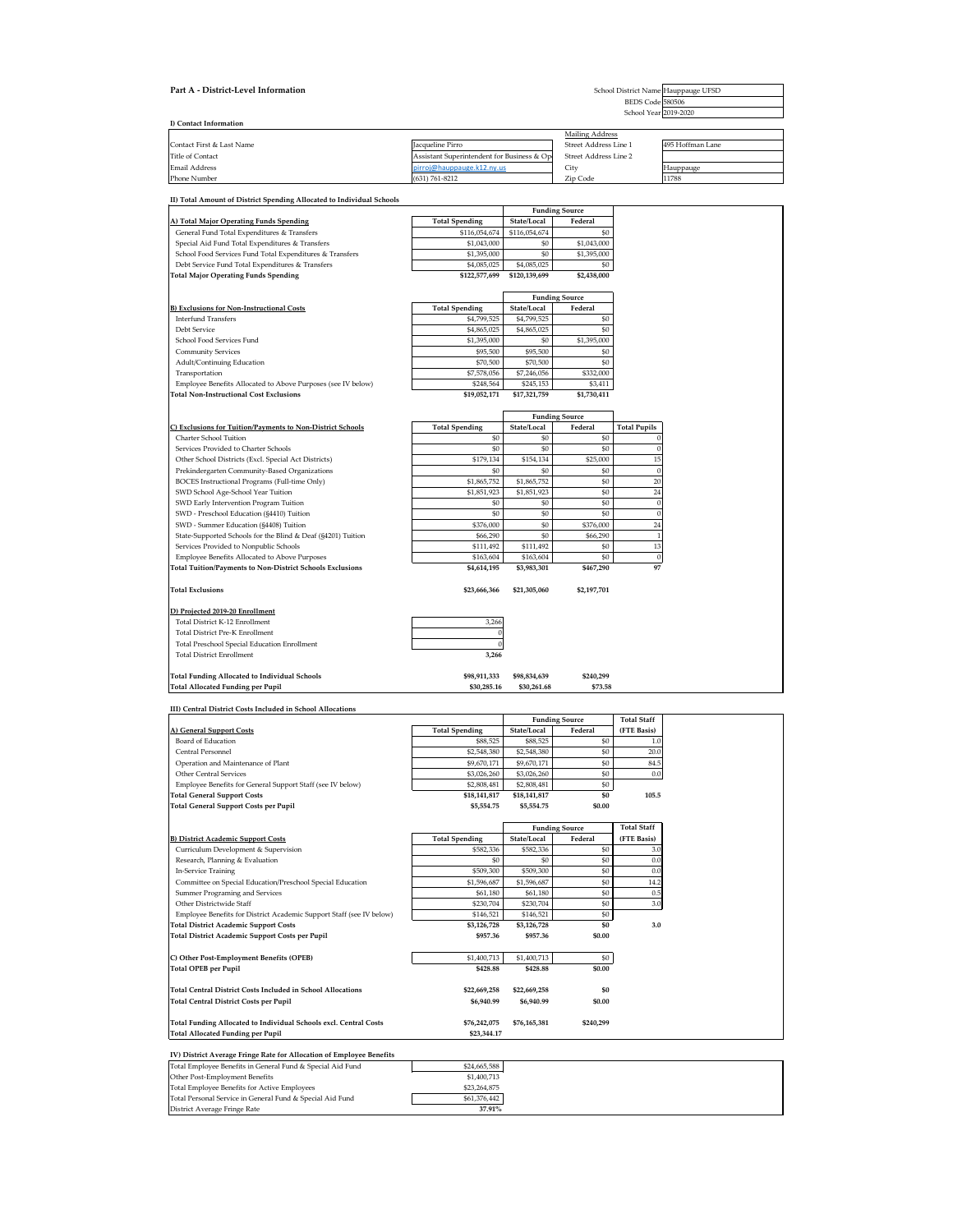| II) Total Amount of District Spending Allocated to Individual Schools |
|-----------------------------------------------------------------------|
|-----------------------------------------------------------------------|

| C) Exclusions for Tuition/Payments to Non-District Schools   | <b>Total Spending</b> | State/Local | Federal   | <b>Total Pupils</b> |
|--------------------------------------------------------------|-----------------------|-------------|-----------|---------------------|
| <b>Charter School Tuition</b>                                | \$0                   | \$0         | \$0       |                     |
| Services Provided to Charter Schools                         | \$0                   | \$0         | \$0       |                     |
| Other School Districts (Excl. Special Act Districts)         | \$179,134             | \$154,134   | \$25,000  | 15                  |
| Prekindergarten Community-Based Organizations                | \$0                   | \$0         | \$0       | U                   |
| BOCES Instructional Programs (Full-time Only)                | \$1,865,752           | \$1,865,752 | \$0       | 20                  |
| SWD School Age-School Year Tuition                           | \$1,851,923           | \$1,851,923 | \$0       | 24                  |
| SWD Early Intervention Program Tuition                       | \$0                   | \$0         | \$0       |                     |
| SWD - Preschool Education (§4410) Tuition                    | \$0                   | \$0         | \$0       |                     |
| SWD - Summer Education (§4408) Tuition                       | \$376,000             | \$0         | \$376,000 | 24                  |
| State-Supported Schools for the Blind & Deaf (§4201) Tuition | \$66,290              | \$0         | \$66,290  |                     |
| Services Provided to Nonpublic Schools                       | \$111,492             | \$111,492   | \$0       | 13                  |
| Employee Benefits Allocated to Above Purposes                | \$163,604             | \$163,604   | \$0       |                     |
| Total Tuition/Payments to Non-District Schools Exclusions    | \$4,614,195           | \$3,983,301 | \$467,290 | 97                  |
|                                                              |                       |             |           |                     |

|  | Total Exclusions |
|--|------------------|
|  |                  |

| , exclusions for Tunnon, rayments to ivon-District Schools   | Total openuing | Olal <del>e</del> Lucal | Teuclai    | TUTAL L'UPILS |  |  |
|--------------------------------------------------------------|----------------|-------------------------|------------|---------------|--|--|
| <b>Charter School Tuition</b>                                | \$0            | \$0                     | \$0        |               |  |  |
| Services Provided to Charter Schools                         | \$0            | \$0                     | \$0        |               |  |  |
| Other School Districts (Excl. Special Act Districts)         | \$179,134      | \$154,134               | \$25,000   | 15            |  |  |
| Prekindergarten Community-Based Organizations                | \$0            | \$0                     | \$0        |               |  |  |
| <b>BOCES Instructional Programs (Full-time Only)</b>         | \$1,865,752    | \$1,865,752             | \$0        | 20            |  |  |
| SWD School Age-School Year Tuition                           | \$1,851,923    | \$1,851,923             | \$0        | 24            |  |  |
| SWD Early Intervention Program Tuition                       | \$0            | \$0                     | \$0        |               |  |  |
| SWD - Preschool Education (§4410) Tuition                    | \$0            | \$0                     | \$0        |               |  |  |
| SWD - Summer Education (§4408) Tuition                       | \$376,000      | \$0                     | \$376,000  | 24            |  |  |
| State-Supported Schools for the Blind & Deaf (§4201) Tuition | \$66,290       | \$0                     | \$66,290   |               |  |  |
| Services Provided to Nonpublic Schools                       | \$111,492      | \$111,492               | \$0        | 13            |  |  |
| <b>Employee Benefits Allocated to Above Purposes</b>         | \$163,604      | \$163,604               | \$0        |               |  |  |
| atal Tuitian/Payments to Non-District Schools Exclusions     | $QA$ 611 105   | <b>¢2.002.201</b>       | $QACZ$ 200 | 07            |  |  |

**Total Exclusions \$23,666,366 \$21,305,060 \$2,197,701**

| 3,266 |
|-------|
|       |
|       |

### **D) Projected 2019-20 Enrollment**

Total District K-12 Enrollment

Total District Pre-K Enrollment 0 Total Preschool Special Education Enrollment 0

| Part A - District-Level Information | School District Name Hauppauge UFSD        |                        |                  |  |  |  |  |  |
|-------------------------------------|--------------------------------------------|------------------------|------------------|--|--|--|--|--|
|                                     |                                            | BEDS Code 580506       |                  |  |  |  |  |  |
|                                     |                                            | School Year 2019-2020  |                  |  |  |  |  |  |
| I) Contact Information              |                                            |                        |                  |  |  |  |  |  |
|                                     |                                            | <b>Mailing Address</b> |                  |  |  |  |  |  |
| Contact First & Last Name           | Jacqueline Pirro                           | Street Address Line 1  | 495 Hoffman Lane |  |  |  |  |  |
| Title of Contact                    | Assistant Superintendent for Business & Op | Street Address Line 2  |                  |  |  |  |  |  |
| <b>Email Address</b>                | pirroj@hauppauge.k12.ny.us                 | City                   | Hauppauge        |  |  |  |  |  |

Phone Number Zip Code (631) 761-8212 11788

| Total Prescribol Special Equication Embilitient |              |              |           |  |
|-------------------------------------------------|--------------|--------------|-----------|--|
| <b>Total District Enrollment</b>                | 3,266        |              |           |  |
|                                                 |              |              |           |  |
| Total Funding Allocated to Individual Schools   | \$98,911,333 | \$98,834,639 | \$240,299 |  |
| Total Allocated Funding per Pupil               | \$30,285.16  | \$30,261.68  | \$73.58   |  |

|                                                          |                       |                 | <b>Funding Source</b> |
|----------------------------------------------------------|-----------------------|-----------------|-----------------------|
| A) Total Major Operating Funds Spending                  | <b>Total Spending</b> | State/Local     | Federal               |
| General Fund Total Expenditures & Transfers              | \$116,054,674         | \$116,054,674   | \$0                   |
| Special Aid Fund Total Expenditures & Transfers          | \$1,043,000           | \$0             | \$1,043,000           |
| School Food Services Fund Total Expenditures & Transfers | \$1,395,000           | \$0             | \$1,395,000           |
| Debt Service Fund Total Expenditures & Transfers         | \$4,085,025           | \$4,085,025     | \$0                   |
| Total Major Operating Funds Spending                     | \$122,577,699         | \$120.139.699   | \$2,438,000           |
|                                                          |                       |                 |                       |
|                                                          |                       | $\mathbf{r}$ 1. | $\sqrt{ }$            |

#### **III) Central District Costs Included in School Allocations**

|                                                              |                       |              | <b>Funding Source</b> |
|--------------------------------------------------------------|-----------------------|--------------|-----------------------|
| <b>B) Exclusions for Non-Instructional Costs</b>             | <b>Total Spending</b> | State/Local  | Federal               |
| <b>Interfund Transfers</b>                                   | \$4,799,525           | \$4,799,525  | \$0                   |
| Debt Service                                                 | \$4,865,025           | \$4,865,025  | \$0                   |
| School Food Services Fund                                    | \$1,395,000           | \$0          | \$1,395,000           |
| <b>Community Services</b>                                    | \$95,500              | \$95,500     | \$0                   |
| Adult/Continuing Education                                   | \$70,500              | \$70,500     | \$0                   |
| Transportation                                               | \$7,578,056           | \$7,246,056  | \$332,000             |
| Employee Benefits Allocated to Above Purposes (see IV below) | \$248,564             | \$245,153    | \$3,411               |
| <b>Total Non-Instructional Cost Exclusions</b>               | \$19,052,171          | \$17,321,759 | \$1,730,411           |
|                                                              |                       |              |                       |

|                                                                      |                       | <b>Funding Source</b> | <b>Total Staff</b>    |                    |
|----------------------------------------------------------------------|-----------------------|-----------------------|-----------------------|--------------------|
| A) General Support Costs                                             | <b>Total Spending</b> | State/Local           | Federal               | (FTE Basis)        |
| Board of Education                                                   | \$88,525              | \$88,525              | \$0                   | 1.0                |
| Central Personnel                                                    | \$2,548,380           | \$2,548,380           | \$0                   | 20.0               |
| Operation and Maintenance of Plant                                   | \$9,670,171           | \$9,670,171           | \$0                   | 84.5               |
| <b>Other Central Services</b>                                        | \$3,026,260           | \$3,026,260           | \$0                   | 0.0                |
| Employee Benefits for General Support Staff (see IV below)           | \$2,808,481           | \$2,808,481           | \$0                   |                    |
| <b>Total General Support Costs</b>                                   | \$18,141,817          | \$18,141,817          | \$0                   | 105.5              |
| <b>Total General Support Costs per Pupil</b>                         | \$5,554.75            | \$5,554.75            | \$0.00                |                    |
|                                                                      |                       |                       |                       |                    |
|                                                                      |                       |                       | <b>Funding Source</b> | <b>Total Staff</b> |
| <b>B) District Academic Support Costs</b>                            | <b>Total Spending</b> | State/Local           | Federal               | (FTE Basis)        |
| Curriculum Development & Supervision                                 | \$582,336             | \$582,336             | \$0                   | 3.0                |
| Research, Planning & Evaluation                                      | \$0                   | \$0                   | \$0                   | 0.0                |
| <b>In-Service Training</b>                                           | \$509,300             | \$509,300             | \$0                   | 0.0                |
| Committee on Special Education/Preschool Special Education           | \$1,596,687           | \$1,596,687           | \$0                   | 14.2               |
| Summer Programing and Services                                       | \$61,180              | \$61,180              | \$0                   | $0.5\,$            |
| Other Districtwide Staff                                             | \$230,704             | \$230,704             | \$0                   | 3.0                |
| Employee Benefits for District Academic Support Staff (see IV below) | \$146,521             | \$146,521             | \$0                   |                    |
| <b>Total District Academic Support Costs</b>                         | \$3,126,728           | \$3,126,728           | \$0                   | 3.0                |
| Total District Academic Support Costs per Pupil                      | \$957.36              | \$957.36              | \$0.00                |                    |
| C) Other Post-Employment Benefits (OPEB)                             | \$1,400,713           | \$1,400,713           | \$0                   |                    |
| <b>Total OPEB per Pupil</b>                                          | \$428.88              | \$428.88              | \$0.00                |                    |
| <b>Total Central District Costs Included in School Allocations</b>   | \$22,669,258          | \$22,669,258          | \$0                   |                    |
| <b>Total Central District Costs per Pupil</b>                        | \$6,940.99            | \$6,940.99            | \$0.00                |                    |
| Total Funding Allocated to Individual Schools excl. Central Costs    | \$76,242,075          | \$76,165,381          | \$240,299             |                    |
| <b>Total Allocated Funding per Pupil</b>                             | \$23,344.17           |                       |                       |                    |
|                                                                      |                       |                       |                       |                    |

### **IV) District Average Fringe Rate for Allocation of Employee Benefits**

| Total Employee Benefits in General Fund & Special Aid Fund | \$24,665,588 |
|------------------------------------------------------------|--------------|
| Other Post-Employment Benefits                             | \$1,400,713  |
| Total Employee Benefits for Active Employees               | \$23,264,875 |
| Total Personal Service in General Fund & Special Aid Fund  | \$61,376,442 |
| District Average Fringe Rate                               | 37.91%       |

**Funding Source**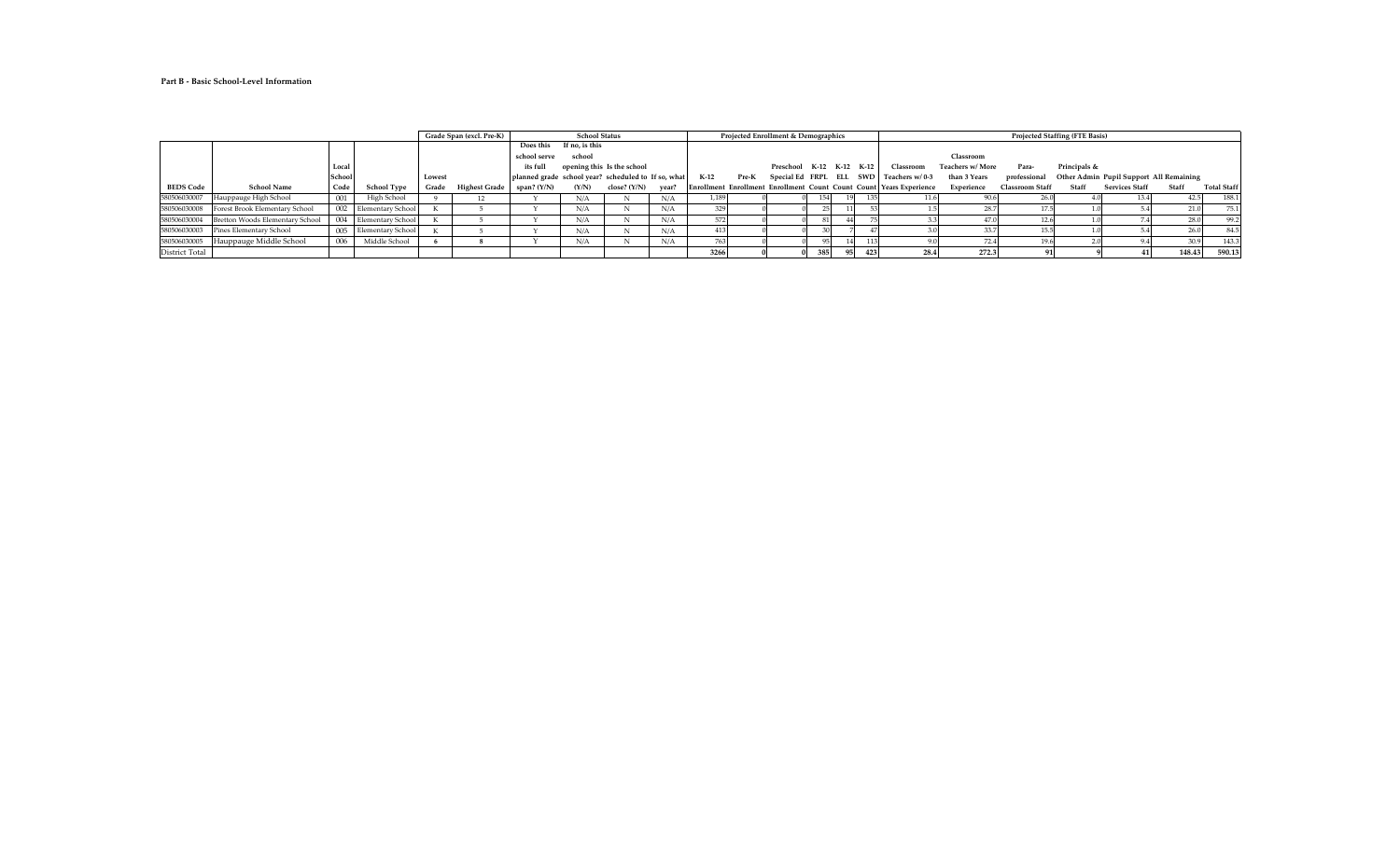## **Part B - Basic School-Level Information**

|                  |                                 |               |                          |        | Projected Enrollment & Demographics<br>Grade Span (excl. Pre-K)<br><b>School Status</b> |               |                |                                                     | <b>Projected Staffing (FTE Basis)</b> |        |       |                          |                  |  |     |                                                                       |                         |                        |              |                                                      |        |                    |
|------------------|---------------------------------|---------------|--------------------------|--------|-----------------------------------------------------------------------------------------|---------------|----------------|-----------------------------------------------------|---------------------------------------|--------|-------|--------------------------|------------------|--|-----|-----------------------------------------------------------------------|-------------------------|------------------------|--------------|------------------------------------------------------|--------|--------------------|
|                  |                                 |               |                          |        |                                                                                         | Does this     | If no, is this |                                                     |                                       |        |       |                          |                  |  |     |                                                                       |                         |                        |              |                                                      |        |                    |
|                  |                                 |               |                          |        |                                                                                         | school serve  | school         |                                                     |                                       |        |       |                          |                  |  |     |                                                                       | Classroom               |                        |              |                                                      |        |                    |
|                  |                                 | Local         |                          |        |                                                                                         | its full      |                | opening this Is the school                          |                                       |        |       | Preschool K-12 K-12 K-12 |                  |  |     | Classroom                                                             | <b>Teachers w/ More</b> | Para-                  | Principals & |                                                      |        |                    |
|                  |                                 | <b>School</b> |                          | Lowest |                                                                                         |               |                | planned grade school year? scheduled to If so, what |                                       | $K-12$ | Pre-K |                          |                  |  |     | Special Ed FRPL ELL SWD Teachers w/0-3                                | than 3 Years            |                        |              | professional Other Admin Pupil Support All Remaining |        |                    |
| <b>BEDS Code</b> | <b>School Name</b>              | Code          | <b>School Type</b>       | Grade  | <b>Highest Grade</b>                                                                    | span? $(Y/N)$ | (Y/N)          | close? $(Y/N)$                                      | year?                                 |        |       |                          |                  |  |     | Enrollment Enrollment Enrollment Count Count Count   Years Experience | Experience              | <b>Classroom Staff</b> | Staff        | <b>Services Staff</b>                                | Staff  | <b>Total Staff</b> |
| 580506030007     | Hauppauge High School           | 001           | High School              |        | 12                                                                                      |               | N/A            |                                                     | N/A                                   | 1,189  |       |                          |                  |  |     |                                                                       | 90.6                    |                        |              | 13.4                                                 |        | 188.1              |
| 580506030008     | Forest Brook Elementary School  |               | 002 Elementary School    |        |                                                                                         |               | N/A            | N                                                   | N/A                                   |        |       |                          |                  |  |     |                                                                       | 28.7                    |                        |              |                                                      |        | 75.1               |
| 580506030004     | Bretton Woods Elementary School |               | 004 Elementary School    |        |                                                                                         |               | N/A            | N                                                   | N/A                                   |        |       |                          |                  |  |     |                                                                       |                         |                        |              |                                                      | 28.0   | 99.2               |
| 580506030003     | <b>Pines Elementary School</b>  | 005           | <b>Elementary School</b> |        |                                                                                         |               | N/A            | N                                                   | N/A                                   |        |       |                          |                  |  |     |                                                                       | 33.7                    |                        |              |                                                      |        | 84.5               |
| 580506030005     | Hauppauge Middle School         | 006           | Middle School            |        |                                                                                         |               | N/A            |                                                     | N/A                                   |        |       |                          |                  |  |     |                                                                       |                         |                        |              |                                                      | 30.9   | 143.3              |
| District Total   |                                 |               |                          |        |                                                                                         |               |                |                                                     |                                       | 3266   |       |                          | 385 <sup>1</sup> |  | 423 | 28.4                                                                  | 272.3                   |                        |              |                                                      | 148.43 | 590.13             |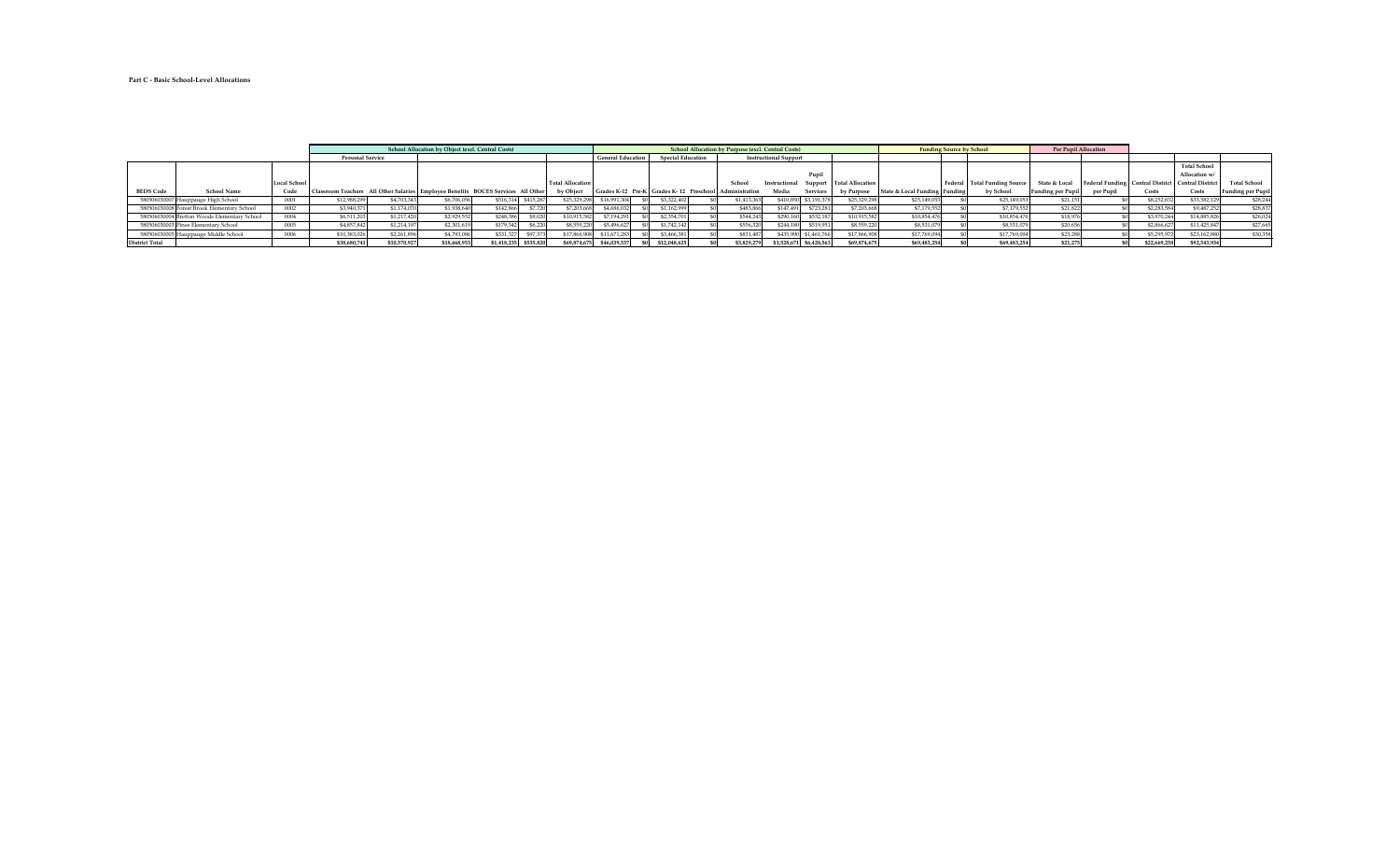## **Part C - Basic School-Level Allocations**

|                  |                                              |                     |                         |              | <b>School Allocation by Object (excl. Central Costs)</b> |                                                                                    |                         |                          |                                                        | <b>School Allocation by Purpose (excl. Central Costs)</b> |                              |                           |                          | <b>Funding Source by School</b> |                                | <b>Per Pupil Allocation</b> |                                                       |             |                     |                          |
|------------------|----------------------------------------------|---------------------|-------------------------|--------------|----------------------------------------------------------|------------------------------------------------------------------------------------|-------------------------|--------------------------|--------------------------------------------------------|-----------------------------------------------------------|------------------------------|---------------------------|--------------------------|---------------------------------|--------------------------------|-----------------------------|-------------------------------------------------------|-------------|---------------------|--------------------------|
|                  |                                              |                     | <b>Personal Service</b> |              |                                                          |                                                                                    |                         | <b>General Education</b> | <b>Special Education</b>                               |                                                           | <b>Instructional Support</b> |                           |                          |                                 |                                |                             |                                                       |             |                     |                          |
|                  |                                              |                     |                         |              |                                                          |                                                                                    |                         |                          |                                                        |                                                           |                              |                           |                          |                                 |                                |                             |                                                       |             | <b>Total School</b> |                          |
|                  |                                              |                     |                         |              |                                                          |                                                                                    |                         |                          |                                                        |                                                           |                              | Pupil                     |                          |                                 |                                |                             |                                                       |             | Allocation w/       |                          |
|                  |                                              | <b>Local School</b> |                         |              |                                                          |                                                                                    | <b>Total Allocation</b> |                          |                                                        | -School                                                   | Instructional                |                           | Support Total Allocation |                                 | Federal   Total Funding Source | State & Local               | Federal Funding   Central District   Central District |             |                     | <b>Total School</b>      |
| <b>BEDS Code</b> | <b>School Name</b>                           | Code                |                         |              |                                                          | Classroom Teachers All Other Salaries   Employee Benefits BOCES Services All Other | by Object               |                          | Grades K-12 Pre-K Grades K-12 Preschool Administration |                                                           | Media                        | <b>Services</b>           | by Purpose               | State & Local Funding   Funding | by School                      | Funding per Pupil           | per Pupil                                             | Costs       | Costs               | <b>Funding per Pupil</b> |
|                  | 580506030007 Hauppauge High School           | 0001                | \$12,988,299            | \$4,703,343  | \$6,706,056                                              | \$415,28<br>\$516,31                                                               | \$25,329,298            | \$16,991,304             | \$3,322,402                                            | \$1,413,36                                                |                              | \$410,850 \$3,191,378     | \$25,329,298             | \$25,149,053                    | \$25,149,053                   | \$21,15                     |                                                       | \$8,252,85  | \$33,582,129        | \$28,244                 |
|                  | 580506030008 Forest Brook Elementary School  | 0002                | \$3,940,37              | \$1,174,070  | \$1,938,640                                              | \$7,720<br>\$142,86                                                                | \$7,203,668             | \$4,686,03               | \$1,162,999                                            | \$483,86                                                  | \$147,491                    | \$723,281                 | \$7,203,668              | \$7,179,552                     | \$7,179,552                    | \$21,822                    |                                                       | \$2,283,58  | \$9,487,252         | \$28,837                 |
|                  | 580506030004 Bretton Woods Elementary School | 0004                | \$6,511,203             | \$1,217,420  | \$2,929,552                                              | \$248,38                                                                           | \$10,915,582            | \$7,194,291              | \$2,354,70                                             | \$544,24                                                  | \$290,160                    | \$532,187                 | \$10,915,582             | \$10,854,476                    | \$10,854,476                   | \$18,97                     |                                                       | \$3,970,244 | \$14,885,826        | \$26,024                 |
|                  | 580506030003 Pines Elementary School         | 0005                | \$4,857,842             | \$1,214,197  | \$2,301,619                                              | \$179,34                                                                           | \$8,559,220             | \$5,496,627              | \$1,742,142                                            | \$556,32                                                  | \$244,180                    | \$519,951                 | \$8,559,220              | \$8,531,079                     | \$8,531,079                    | \$20,656                    |                                                       | \$2,866,62  | \$11,425,84         | \$27,665                 |
|                  | 580506030005 Hauppauge Middle School         | 0006                | \$10,383,026            | \$2,261,896  | \$4,793,086                                              | \$97,57<br>\$331,32                                                                | \$17,866,908            | \$11,671,283             | \$3,466,381                                            | \$831,48                                                  | \$435,990                    | \$1,461,766               | \$17,866,908             | \$17,769,094                    | \$17,769,094                   | \$23,288                    |                                                       | \$5,295,97  | \$23,162,880        | \$30,358                 |
| District Total   |                                              |                     | \$38,680,741            | \$10,570,927 | \$18,668,953                                             | \$535,820<br>\$1,418,23                                                            | \$69,874,675            | \$46,039,537             | \$12,048,625                                           | \$3,829,27                                                |                              | $$1,528,671$ $$6,428,563$ | \$69,874,675             | \$69,483,254                    | \$69,483,254                   | \$21,275                    |                                                       | \$22,669,25 | \$92,543,934        |                          |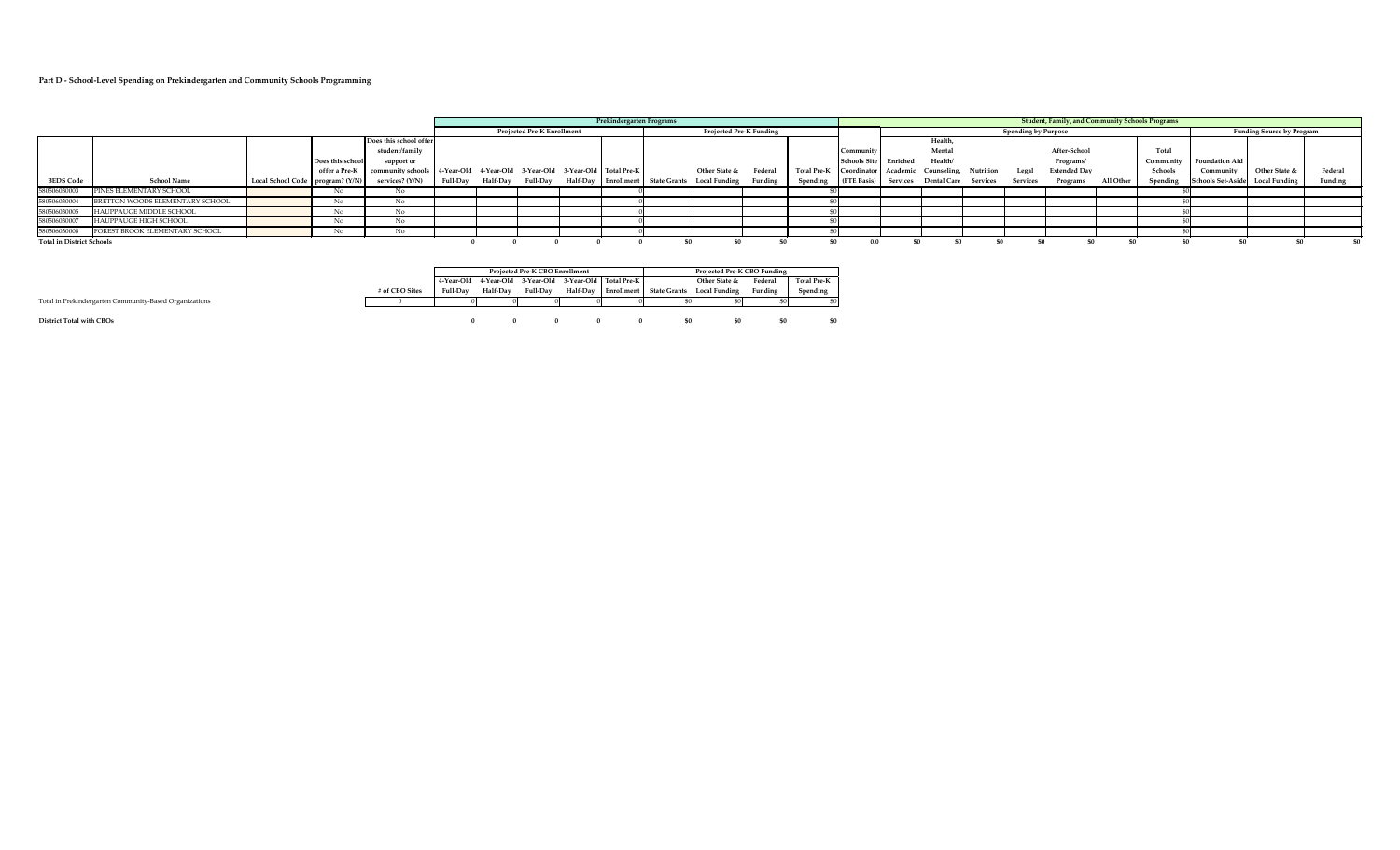# **Part D - School-Level Spending on Prekindergarten and Community Schools Programming**

|                                  |                                 |                                    |                  |                                                                             |                 | Prekindergarten Programs |                                   |  |  |                                    |                                |         |                    |                         |                                      |           | <b>Student, Family, and Community Schools Programs</b> |                     |           |           |                                 |                                  |         |
|----------------------------------|---------------------------------|------------------------------------|------------------|-----------------------------------------------------------------------------|-----------------|--------------------------|-----------------------------------|--|--|------------------------------------|--------------------------------|---------|--------------------|-------------------------|--------------------------------------|-----------|--------------------------------------------------------|---------------------|-----------|-----------|---------------------------------|----------------------------------|---------|
|                                  |                                 |                                    |                  |                                                                             |                 |                          | <b>Projected Pre-K Enrollment</b> |  |  |                                    | <b>Projected Pre-K Funding</b> |         |                    |                         |                                      |           | <b>Spending by Purpose</b>                             |                     |           |           |                                 | <b>Funding Source by Program</b> |         |
|                                  |                                 |                                    |                  | Does this school offer                                                      |                 |                          |                                   |  |  |                                    |                                |         |                    |                         | Health                               |           |                                                        |                     |           |           |                                 |                                  |         |
|                                  |                                 |                                    |                  | student/family                                                              |                 |                          |                                   |  |  |                                    |                                |         |                    | Communit                | Mental                               |           |                                                        | After-School        |           | Total     |                                 |                                  |         |
|                                  |                                 |                                    | Does this school | support or                                                                  |                 |                          |                                   |  |  |                                    |                                |         |                    | Schools Site   Enriched | Health/                              |           |                                                        | Programs/           |           | Community | <b>Foundation Aid</b>           |                                  |         |
|                                  |                                 |                                    | offer a Pre-K    | community schools   4-Year-Old 4-Year-Old 3-Year-Old 3-Year-Old Total Pre-K |                 |                          |                                   |  |  |                                    | Other State &                  | Federal | <b>Total Pre-K</b> | Coordinator             | Academic Counseling,                 | Nutrition | Legal                                                  | <b>Extended Day</b> |           | Schools   | Community                       | Other State &                    | Federal |
| <b>BEDS Code</b>                 | <b>School Name</b>              | Local School Code   program? (Y/N) |                  | services? (Y/N)                                                             | <b>Full-Day</b> | <b>Half-Day</b>          | <b>Full-Day</b>                   |  |  | Half-Day Enrollment   State Grants | <b>Local Funding</b>           | Funding | Spending           | (FTE Basis)             | <b>Services Dental Care Services</b> |           | Services                                               | Programs            | All Other | Spending  | Schools Set-Aside Local Funding |                                  | Funding |
| 580506030003                     | PINES ELEMENTARY SCHOOL         |                                    | No               | No                                                                          |                 |                          |                                   |  |  |                                    |                                |         |                    |                         |                                      |           |                                                        |                     |           |           |                                 |                                  |         |
| 580506030004                     | BRETTON WOODS ELEMENTARY SCHOOL |                                    | No.              | No                                                                          |                 |                          |                                   |  |  |                                    |                                |         |                    |                         |                                      |           |                                                        |                     |           |           |                                 |                                  |         |
| 580506030005                     | HAUPPAUGE MIDDLE SCHOOL         |                                    | No               |                                                                             |                 |                          |                                   |  |  |                                    |                                |         |                    |                         |                                      |           |                                                        |                     |           |           |                                 |                                  |         |
| 580506030007                     | HAUPPAUGE HIGH SCHOOL           |                                    | N0.              |                                                                             |                 |                          |                                   |  |  |                                    |                                |         |                    |                         |                                      |           |                                                        |                     |           |           |                                 |                                  |         |
| 580506030008                     | FOREST BROOK ELEMENTARY SCHOOL  |                                    | ΝO               |                                                                             |                 |                          |                                   |  |  |                                    |                                |         |                    |                         |                                      |           |                                                        |                     |           |           |                                 |                                  |         |
| <b>Total in District Schools</b> |                                 |                                    |                  |                                                                             |                 |                          |                                   |  |  |                                    |                                |         |                    |                         |                                      |           | -90                                                    |                     |           |           |                                 | -\$0                             |         |



|                                                        |                |            |          | <b>Projected Pre-K CBO Enrollment</b> |          |                                              |                                  | <b>Projected Pre-K CBO Funding</b> |         |                    |
|--------------------------------------------------------|----------------|------------|----------|---------------------------------------|----------|----------------------------------------------|----------------------------------|------------------------------------|---------|--------------------|
|                                                        |                | 4-Year-Old |          |                                       |          | 4-Year-Old 3-Year-Old 3-Year-Old Total Pre-K |                                  | Other State &                      | Federal | <b>Total Pre-K</b> |
|                                                        | # of CBO Sites | Full-Day   | Half-Day | <b>Full-Day</b>                       | Half-Day |                                              | <b>Enrollment   State Grants</b> | <b>Local Funding</b>               | Funding | Spending           |
| Total in Prekindergarten Community-Based Organizations |                |            |          |                                       |          |                                              |                                  |                                    |         | \$01               |
|                                                        |                |            |          |                                       |          |                                              |                                  |                                    |         |                    |
| <b>District Total with CBOs</b>                        |                |            |          |                                       |          |                                              | -90                              |                                    |         | \$0                |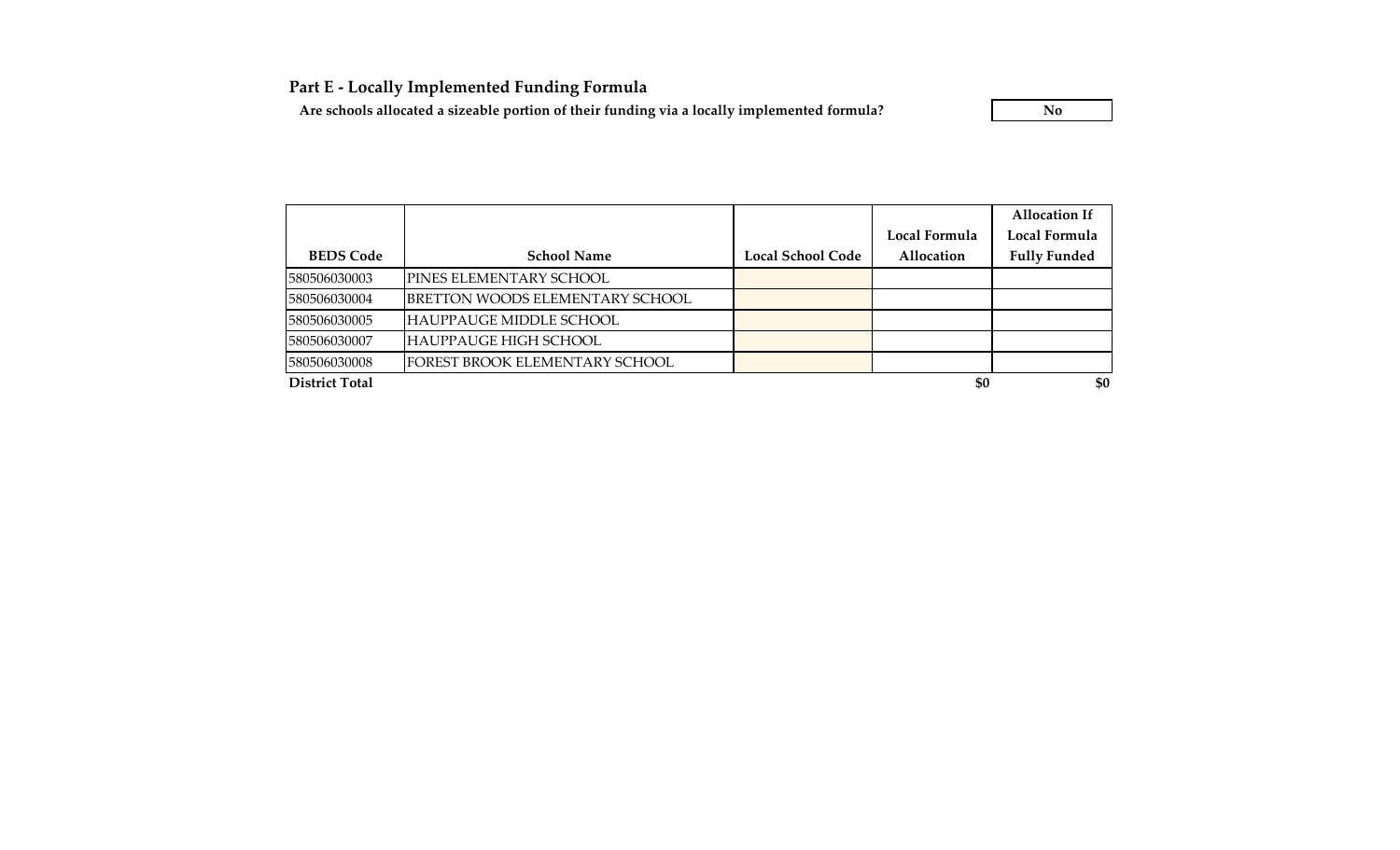**Part E - Locally Implemented Funding Formula**

Are schools allocated a sizeable portion of their funding via a locally implemented formula? **No** 

|                       |                                         |                   |               | <b>Allocation If</b> |
|-----------------------|-----------------------------------------|-------------------|---------------|----------------------|
|                       |                                         |                   | Local Formula | Local Formula        |
| <b>BEDS Code</b>      | <b>School Name</b>                      | Local School Code | Allocation    | <b>Fully Funded</b>  |
| 580506030003          | IPINES ELEMENTARY SCHOOL                |                   |               |                      |
| 580506030004          | <b>JBRETTON WOODS ELEMENTARY SCHOOL</b> |                   |               |                      |
| 580506030005          | HAUPPAUGE MIDDLE SCHOOL                 |                   |               |                      |
| 580506030007          | HAUPPAUGE HIGH SCHOOL                   |                   |               |                      |
| 580506030008          | FOREST BROOK ELEMENTARY SCHOOL          |                   |               |                      |
| <b>District Total</b> |                                         |                   | \$0           | \$0                  |